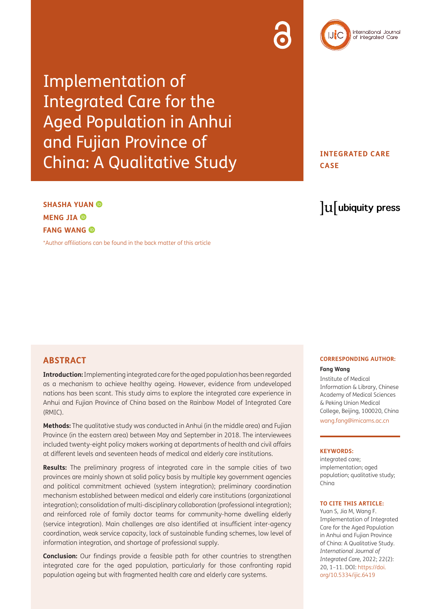# Implementation of Integrated Care for the Aged Population in Anhui and Fujian Province of China: A Qualitative Study

**INTEGRATED CARE CASE**

## $\mathrm{u}$  ubiquity press

**SHASHA YUAN MENGJIA**<sup> $\odot$ </sup> **FANG WANG** 

[\\*Author affiliations can be found in the back matter of this article](#page-8-0)

## **ABSTRACT**

**Introduction:** Implementing integrated care for the aged population has been regarded as a mechanism to achieve healthy ageing. However, evidence from undeveloped nations has been scant. This study aims to explore the integrated care experience in Anhui and Fujian Province of China based on the Rainbow Model of Integrated Care (RMIC).

**Methods:** The qualitative study was conducted in Anhui (in the middle area) and Fujian Province (in the eastern area) between May and September in 2018. The interviewees included twenty-eight policy makers working at departments of health and civil affairs at different levels and seventeen heads of medical and elderly care institutions.

**Results:** The preliminary progress of integrated care in the sample cities of two provinces are mainly shown at solid policy basis by multiple key government agencies and political commitment achieved (system integration); preliminary coordination mechanism established between medical and elderly care institutions (organizational integration); consolidation of multi-disciplinary collaboration (professional integration); and reinforced role of family doctor teams for community-home dwelling elderly (service integration). Main challenges are also identified at insufficient inter-agency coordination, weak service capacity, lack of sustainable funding schemes, low level of information integration, and shortage of professional supply.

**Conclusion:** Our findings provide a feasible path for other countries to strengthen integrated care for the aged population, particularly for those confronting rapid population ageing but with fragmented health care and elderly care systems.

#### **CORRESPONDING AUTHOR:**

#### **Fang Wang**

Institute of Medical Information & Library, Chinese Academy of Medical Sciences & Peking Union Medical College, Beijing, 100020, China [wang.fang@imicams.ac.cn](mailto:wang.fang@imicams.ac.cn)

#### **KEYWORDS:**

integrated care; implementation; aged population; qualitative study; China

#### **TO CITE THIS ARTICLE:**

Yuan S, Jia M, Wang F. Implementation of Integrated Care for the Aged Population in Anhui and Fujian Province of China: A Qualitative Study. *International Journal of Integrated Care,* 2022; 22(2): 20, 1–11. DOI: [https://doi.](https://doi.org/10.5334/ijic.6419) [org/10.5334/ijic.6419](https://doi.org/10.5334/ijic.6419)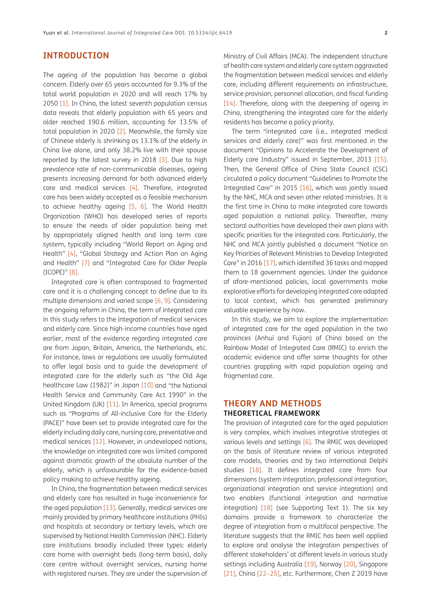## **INTRODUCTION**

The ageing of the population has become a global concern. Elderly over 65 years accounted for 9.3% of the total world population in 2020 and will reach 17% by 2050 [[1\]](#page-8-1). In China, the latest seventh population census data reveals that elderly population with 65 years and older reached 190.6 million, accounting for 13.5% of total population in 2020 [[2\]](#page-8-2). Meanwhile, the family size of Chinese elderly is shrinking as 13.1% of the elderly in China live alone, and only 38.2% live with their spouse reported by the latest survey in 2018 [3]. Due to high prevalence rate of non-communicable diseases, ageing presents increasing demand for both advanced elderly care and medical services [\[4](#page-9-0)]. Therefore, integrated care has been widely accepted as a feasible mechanism to achieve healthy ageing [\[5](#page-9-1), [6](#page-9-2)]. The World Health Organization (WHO) has developed series of reports to ensure the needs of older population being met by appropriately aligned health and long term care system, typically including "World Report on Aging and Health" [[4\]](#page-9-0), "Global Strategy and Action Plan on Aging and Health" [\[7](#page-9-3)] and "Integrated Care for Older People (ICOPE)" [[8\]](#page-9-4).

Integrated care is often contraposed to fragmented care and it is a challenging concept to define due to its multiple dimensions and varied scope [\[6](#page-9-2), [9](#page-9-5)]. Considering the ongoing reform in China, the term of integrated care in this study refers to the integration of medical services and elderly care. Since high-income countries have aged earlier, most of the evidence regarding integrated care are from Japan, Britain, America, the Netherlands, etc. For instance, laws or regulations are usually formulated to offer legal basis and to guide the development of integrated care for the elderly such as "the Old Age healthcare Law (1982)" in Japan [\[10\]](#page-9-6) and "the National Health Service and Community Care Act 1990" in the United Kingdom (UK) [\[11\]](#page-9-7). In America, special programs such as "Programs of All-inclusive Care for the Elderly (PACE)" have been set to provide integrated care for the elderly including daily care, nursing care, preventative and medical services [[12\]](#page-9-8). However, in undeveloped nations, the knowledge on integrated care was limited compared against dramatic growth of the absolute number of the elderly, which is unfavourable for the evidence-based policy making to achieve healthy ageing.

In China, the fragmentation between medical services and elderly care has resulted in huge inconvenience for the aged population [[13](#page-9-9)]. Generally, medical services are mainly provided by primary healthcare institutions (PHIs) and hospitals at secondary or tertiary levels, which are supervised by National Health Commission (NHC). Elderly care institutions broadly included three types: elderly care home with overnight beds (long-term basis), daily care centre without overnight services, nursing home with registered nurses. They are under the supervision of Ministry of Civil Affairs (MCA). The independent structure of health care system and elderly care system aggravated the fragmentation between medical services and elderly care, including different requirements on infrastructure, service provision, personnel allocation, and fiscal funding [[14](#page-9-10)]. Therefore, along with the deepening of ageing in China, strengthening the integrated care for the elderly residents has become a policy priority.

The term "integrated care (i.e., integrated medical services and elderly care)" was first mentioned in the document "Opinions to Accelerate the Development of Elderly care Industry" issued in September, 2013 [\[15\]](#page-9-11). Then, the General Office of China State Council (CSC) circulated a policy document "Guidelines to Promote the Integrated Care" in 2015 [\[16\]](#page-9-12), which was jointly issued by the NHC, MCA and seven other related ministries. It is the first time in China to make integrated care towards aged population a national policy. Thereafter, many sectoral authorities have developed their own plans with specific priorities for the integrated care. Particularly, the NHC and MCA jointly published a document "Notice on Key Priorities of Relevant Ministries to Develop Integrated Care" in 2016 [\[17\]](#page-9-13), which identified 36 tasks and mapped them to 18 government agencies. Under the guidance of afore-mentioned policies, local governments make explorative efforts for developing integrated care adapted to local context, which has generated preliminary valuable experience by now.

In this study, we aim to explore the implementation of integrated care for the aged population in the two provinces (Anhui and Fujian) of China based on the Rainbow Model of Integrated Care (RMIC) to enrich the academic evidence and offer some thoughts for other countries grappling with rapid population ageing and fragmented care.

## **THEORY AND METHODS THEORETICAL FRAMEWORK**

The provision of integrated care for the aged population is very complex, which involves integrative strategies at various levels and settings [[6\]](#page-9-2). The RMIC was developed on the basis of literature review of various integrated care models, theories and by two international Delphi studies [[18\]](#page-9-14). It defines integrated care from four dimensions (system integration, professional integration, organizational integration and service integration) and two enablers (functional integration and normative integration)  $[18]$  $[18]$  (see Supporting Text 1). The six key domains provide a framework to characterize the degree of integration from a multifocal perspective. The literature suggests that the RMIC has been well applied to explore and analyse the integration perspectives of different stakeholders' at different levels in various study settings including Australia [\[19\]](#page-9-15), Norway [20], Singapore [[21](#page-9-16)], China [\[22](#page-9-17)–[25](#page-9-18)], etc. Furthermore, Chen Z 2019 have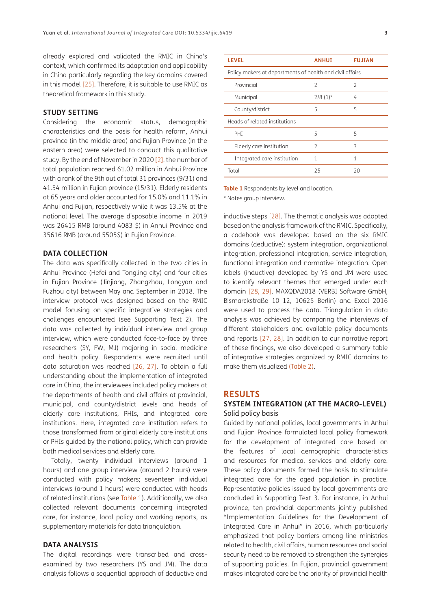already explored and validated the RMIC in China's context, which confirmed its adaptation and applicability in China particularly regarding the key domains covered in this model [[25](#page-9-18)]. Therefore, it is suitable to use RMIC as theoretical framework in this study.

#### **STUDY SETTING**

Considering the economic status, demographic characteristics and the basis for health reform, Anhui province (in the middle area) and Fujian Province (in the eastern area) were selected to conduct this qualitative study. By the end of November in 2020 [\[2\]](#page-8-2), the number of total population reached 61.02 million in Anhui Province with a rank of the 9th out of total 31 provinces (9/31) and 41.54 million in Fujian province (15/31). Elderly residents at 65 years and older accounted for 15.0% and 11.1% in Anhui and Fujian, respectively while it was 13.5% at the national level. The average disposable income in 2019 was 26415 RMB (around 4083 \$) in Anhui Province and 35616 RMB (around 5505\$) in Fujian Province.

#### **DATA COLLECTION**

The data was specifically collected in the two cities in Anhui Province (Hefei and Tongling city) and four cities in Fujian Province (Jinjiang, Zhangzhou, Longyan and Fuzhou city) between May and September in 2018. The interview protocol was designed based on the RMIC model focusing on specific integrative strategies and challenges encountered (see Supporting Text 2). The data was collected by individual interview and group interview, which were conducted face-to-face by three researchers (SY, FW, MJ) majoring in social medicine and health policy. Respondents were recruited until data saturation was reached [[26,](#page-9-19) [27](#page-9-20)]. To obtain a full understanding about the implementation of integrated care in China, the interviewees included policy makers at the departments of health and civil affairs at provincial, municipal, and county/district levels and heads of elderly care institutions, PHIs, and integrated care institutions. Here, integrated care institution refers to those transformed from original elderly care institutions or PHIs guided by the national policy, which can provide both medical services and elderly care.

Totally, twenty individual interviews (around 1 hours) and one group interview (around 2 hours) were conducted with policy makers; seventeen individual interviews (around 1 hours) were conducted with heads of related institutions (see [Table 1\)](#page-2-0). Additionally, we also collected relevant documents concerning integrated care, for instance, local policy and working reports, as supplementary materials for data triangulation.

#### **DATA ANALYSIS**

The digital recordings were transcribed and crossexamined by two researchers (YS and JM). The data analysis follows a sequential approach of deductive and

| <b>LEVEL</b>                                             | <b>ANHUI</b>           | <b>FUJIAN</b>  |  |
|----------------------------------------------------------|------------------------|----------------|--|
| Policy makers at departments of health and civil affairs |                        |                |  |
| Provincial                                               | $\overline{2}$         | $\overline{2}$ |  |
| Municipal                                                | $2/8$ (1) <sup>*</sup> | 4              |  |
| County/district                                          | 5                      | 5              |  |
| Heads of related institutions                            |                        |                |  |
| PHT                                                      | 5                      | 5              |  |
| Elderly care institution                                 | $\overline{2}$         | 3              |  |
| Integrated care institution                              | 1                      | 1              |  |
| Total                                                    | 25                     | 20             |  |

<span id="page-2-0"></span>**Table 1** Respondents by level and location.

\* Notes group interview.

inductive steps [[28](#page-9-21)]. The thematic analysis was adopted based on the analysis framework of the RMIC. Specifically, a codebook was developed based on the six RMIC domains (deductive): system integration, organizational integration, professional integration, service integration, functional integration and normative integration. Open labels (inductive) developed by YS and JM were used to identify relevant themes that emerged under each domain [\[28,](#page-9-21) 29]. MAXQDA2018 (VERBI Software GmbH, Bismarckstraße 10–12, 10625 Berlin) and Excel 2016 were used to process the data. Triangulation in data analysis was achieved by comparing the interviews of different stakeholders and available policy documents and reports [\[27](#page-9-20), [28](#page-9-21)]. In addition to our narrative report of these findings, we also developed a summary table of integrative strategies organized by RMIC domains to make them visualized ([Table 2\)](#page-5-0).

#### **RESULTS**

#### **SYSTEM INTEGRATION (AT THE MACRO-LEVEL)**  Solid policy basis

Guided by national policies, local governments in Anhui and Fujian Province formulated local policy framework for the development of integrated care based on the features of local demographic characteristics and resources for medical services and elderly care. These policy documents formed the basis to stimulate integrated care for the aged population in practice. Representative policies issued by local governments are concluded in Supporting Text 3. For instance, in Anhui province, ten provincial departments jointly published "Implementation Guidelines for the Development of Integrated Care in Anhui" in 2016, which particularly emphasized that policy barriers among line ministries related to health, civil affairs, human resources and social security need to be removed to strengthen the synergies of supporting policies. In Fujian, provincial government makes integrated care be the priority of provincial health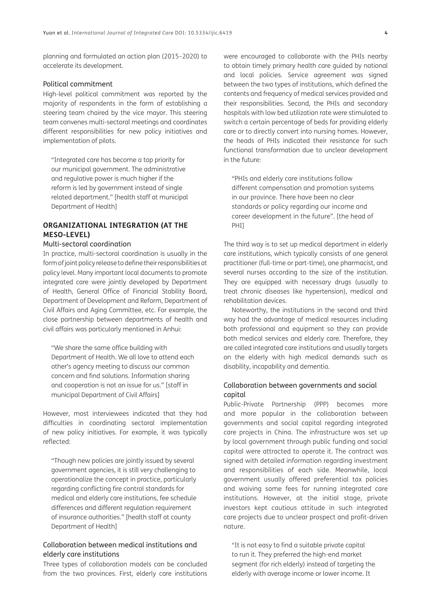planning and formulated an action plan (2015–2020) to accelerate its development.

#### Political commitment

High-level political commitment was reported by the majority of respondents in the form of establishing a steering team chaired by the vice mayor. This steering team convenes multi-sectoral meetings and coordinates different responsibilities for new policy initiatives and implementation of pilots.

"Integrated care has become a top priority for our municipal government. The administrative and regulative power is much higher if the reform is led by government instead of single related department." [health staff at municipal Department of Health]

## **ORGANIZATIONAL INTEGRATION (AT THE MESO-LEVEL)**

#### Multi-sectoral coordination

In practice, multi-sectoral coordination is usually in the form of joint policy release to define their responsibilities at policy level. Many important local documents to promote integrated care were jointly developed by Department of Health, General Office of Financial Stability Board, Department of Development and Reform, Department of Civil Affairs and Aging Committee, etc. For example, the close partnership between departments of health and civil affairs was particularly mentioned in Anhui:

"We share the same office building with Department of Health. We all love to attend each other's agency meeting to discuss our common concern and find solutions. Information sharing and cooperation is not an issue for us." [staff in municipal Department of Civil Affairs]

However, most interviewees indicated that they had difficulties in coordinating sectoral implementation of new policy initiatives. For example, it was typically reflected:

"Though new policies are jointly issued by several government agencies, it is still very challenging to operationalize the concept in practice, particularly regarding conflicting fire control standards for medical and elderly care institutions, fee schedule differences and different regulation requirement of insurance authorities." [health staff at county Department of Health]

## Collaboration between medical institutions and elderly care institutions

Three types of collaboration models can be concluded from the two provinces. First, elderly care institutions were encouraged to collaborate with the PHIs nearby to obtain timely primary health care guided by national and local policies. Service agreement was signed between the two types of institutions, which defined the contents and frequency of medical services provided and their responsibilities. Second, the PHIs and secondary hospitals with low bed utilization rate were stimulated to switch a certain percentage of beds for providing elderly care or to directly convert into nursing homes. However, the heads of PHIs indicated their resistance for such functional transformation due to unclear development in the future:

"PHIs and elderly care institutions follow different compensation and promotion systems in our province. There have been no clear standards or policy regarding our income and career development in the future". [the head of PHI]

The third way is to set up medical department in elderly care institutions, which typically consists of one general practitioner (full-time or part-time), one pharmacist, and several nurses according to the size of the institution. They are equipped with necessary drugs (usually to treat chronic diseases like hypertension), medical and rehabilitation devices.

Noteworthy, the institutions in the second and third way had the advantage of medical resources including both professional and equipment so they can provide both medical services and elderly care. Therefore, they are called integrated care institutions and usually targets on the elderly with high medical demands such as disability, incapability and dementia.

#### Collaboration between governments and social capital

Public-Private Partnership (PPP) becomes more and more popular in the collaboration between governments and social capital regarding integrated care projects in China. The infrastructure was set up by local government through public funding and social capital were attracted to operate it. The contract was signed with detailed information regarding investment and responsibilities of each side. Meanwhile, local government usually offered preferential tax policies and waiving some fees for running integrated care institutions. However, at the initial stage, private investors kept cautious attitude in such integrated care projects due to unclear prospect and profit-driven nature.

"It is not easy to find a suitable private capital to run it. They preferred the high-end market segment (for rich elderly) instead of targeting the elderly with average income or lower income. It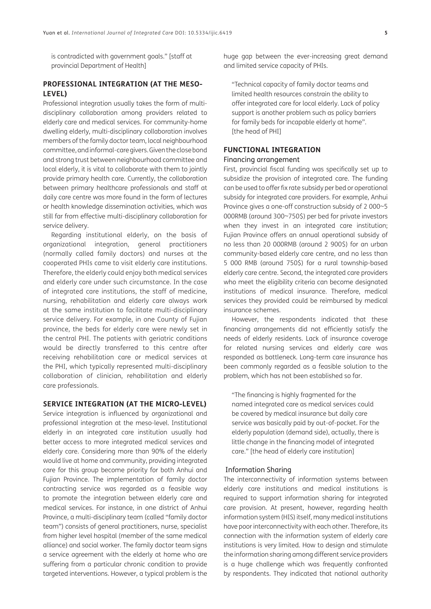is contradicted with government goals." [staff at provincial Department of Health]

## **PROFESSIONAL INTEGRATION (AT THE MESO-LEVEL)**

Professional integration usually takes the form of multidisciplinary collaboration among providers related to elderly care and medical services. For community-home dwelling elderly, multi-disciplinary collaboration involves members of the family doctor team, local neighbourhood committee, and informal-care givers. Given the close bond and strong trust between neighbourhood committee and local elderly, it is vital to collaborate with them to jointly provide primary health care. Currently, the collaboration between primary healthcare professionals and staff at daily care centre was more found in the form of lectures or health knowledge dissemination activities, which was still far from effective multi-disciplinary collaboration for service delivery.

Regarding institutional elderly, on the basis of organizational integration, general practitioners (normally called family doctors) and nurses at the cooperated PHIs came to visit elderly care institutions. Therefore, the elderly could enjoy both medical services and elderly care under such circumstance. In the case of integrated care institutions, the staff of medicine, nursing, rehabilitation and elderly care always work at the same institution to facilitate multi-disciplinary service delivery. For example, in one County of Fujian province, the beds for elderly care were newly set in the central PHI. The patients with geriatric conditions would be directly transferred to this centre after receiving rehabilitation care or medical services at the PHI, which typically represented multi-disciplinary collaboration of clinician, rehabilitation and elderly care professionals.

#### **SERVICE INTEGRATION (AT THE MICRO-LEVEL)**

Service integration is influenced by organizational and professional integration at the meso-level. Institutional elderly in an integrated care institution usually had better access to more integrated medical services and elderly care. Considering more than 90% of the elderly would live at home and community, providing integrated care for this group become priority for both Anhui and Fujian Province. The implementation of family doctor contracting service was regarded as a feasible way to promote the integration between elderly care and medical services. For instance, in one district of Anhui Province, a multi-disciplinary team (called "family doctor team") consists of general practitioners, nurse, specialist from higher level hospital (member of the same medical alliance) and social worker. The family doctor team signs a service agreement with the elderly at home who are suffering from a particular chronic condition to provide targeted interventions. However, a typical problem is the huge gap between the ever-increasing great demand and limited service capacity of PHIs.

"Technical capacity of family doctor teams and limited health resources constrain the ability to offer integrated care for local elderly. Lack of policy support is another problem such as policy barriers for family beds for incapable elderly at home". [the head of PHI]

#### **FUNCTIONAL INTEGRATION**

#### Financing arrangement

First, provincial fiscal funding was specifically set up to subsidize the provision of integrated care. The funding can be used to offer fix rate subsidy per bed or operational subsidy for integrated care providers. For example, Anhui Province gives a one-off construction subsidy of 2 000~5 000RMB (around 300~750\$) per bed for private investors when they invest in an integrated care institution; Fujian Province offers an annual operational subsidy of no less than 20 000RMB (around 2 900\$) for an urban community-based elderly care centre, and no less than 5 000 RMB (around 750\$) for a rural township-based elderly care centre. Second, the integrated care providers who meet the eligibility criterig can become designated institutions of medical insurance. Therefore, medical services they provided could be reimbursed by medical insurance schemes.

However, the respondents indicated that these financing arrangements did not efficiently satisfy the needs of elderly residents. Lack of insurance coverage for related nursing services and elderly care was responded as bottleneck. Long-term care insurance has been commonly regarded as a feasible solution to the problem, which has not been established so far.

"The financing is highly fragmented for the named integrated care as medical services could be covered by medical insurance but daily care service was basically paid by out-of-pocket. For the elderly population (demand side), actually, there is little change in the financing model of integrated care." [the head of elderly care institution]

#### Information Sharing

The interconnectivity of information systems between elderly care institutions and medical institutions is required to support information sharing for integrated care provision. At present, however, regarding health information system (HIS) itself, many medical institutions have poor interconnectivity with each other. Therefore, its connection with the information system of elderly care institutions is very limited. How to design and stimulate the information sharing among different service providers is a huge challenge which was frequently confronted by respondents. They indicated that national authority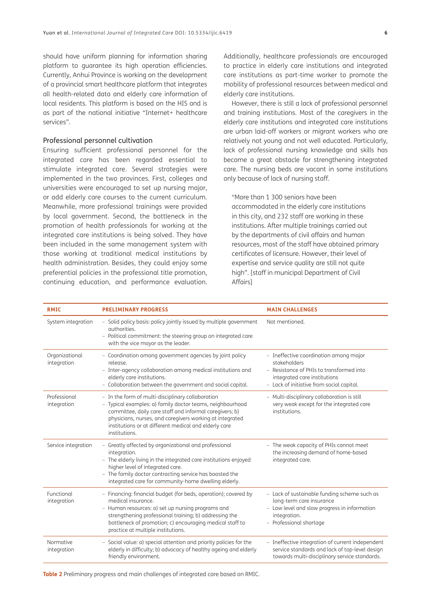should have uniform planning for information sharing platform to guarantee its high operation efficiencies. Currently, Anhui Province is working on the development of a provincial smart healthcare platform that integrates all health-related data and elderly care information of local residents. This platform is based on the HIS and is as part of the national initiative "Internet+ healthcare services".

#### Professional personnel cultivation

Ensuring sufficient professional personnel for the integrated care has been regarded essential to stimulate integrated care. Several strategies were implemented in the two provinces. First, colleges and universities were encouraged to set up nursing major, or add elderly care courses to the current curriculum. Meanwhile, more professional trainings were provided by local government. Second, the bottleneck in the promotion of health professionals for working at the integrated care institutions is being solved. They have been included in the same management system with those working at traditional medical institutions by health administration. Besides, they could enjoy some preferential policies in the professional title promotion, continuing education, and performance evaluation.

Additionally, healthcare professionals are encouraged to practice in elderly care institutions and integrated care institutions as part-time worker to promote the mobility of professional resources between medical and elderly care institutions.

However, there is still a lack of professional personnel and training institutions. Most of the caregivers in the elderly care institutions and integrated care institutions are urban laid-off workers or migrant workers who are relatively not young and not well educated. Particularly, lack of professional nursing knowledge and skills has become a great obstacle for strengthening integrated care. The nursing beds are vacant in some institutions only because of lack of nursing staff.

"More than 1 300 seniors have been accommodated in the elderly care institutions in this city, and 232 staff are working in these institutions. After multiple trainings carried out by the departments of civil affairs and human resources, most of the staff have obtained primary certificates of licensure. However, their level of expertise and service quality are still not quite high". [staff in municipal Department of Civil Affairs]

| <b>RMIC</b>                   | <b>PRELIMINARY PROGRESS</b>                                                                                                                                                                                                                                                                                     | <b>MAIN CHALLENGES</b>                                                                                                                                                          |
|-------------------------------|-----------------------------------------------------------------------------------------------------------------------------------------------------------------------------------------------------------------------------------------------------------------------------------------------------------------|---------------------------------------------------------------------------------------------------------------------------------------------------------------------------------|
| System integration            | - Solid policy basis: policy jointly issued by multiple government<br>authorities.<br>- Political commitment: the steering group on integrated care<br>with the vice mayor as the leader.                                                                                                                       | Not mentioned.                                                                                                                                                                  |
| Organizational<br>integration | - Coordination among government agencies by joint policy<br>release.<br>- Inter-agency collaboration among medical institutions and<br>elderly care institutions.<br>- Collaboration between the government and social capital.                                                                                 | - Ineffective coordination among major<br>stakeholders<br>- Resistance of PHIs to transformed into<br>integrated care institutions<br>- Lack of initiative from social capital. |
| Professional<br>integration   | - In the form of multi-disciplinary collaboration<br>- Typical examples: a) family doctor teams, neighbourhood<br>committee, daily care staff and informal caregivers; b)<br>physicians, nurses, and caregivers working at integrated<br>institutions or at different medical and elderly care<br>institutions. | - Multi-disciplinary collaboration is still<br>very weak except for the integrated care<br>institutions.                                                                        |
| Service integration           | - Greatly affected by organizational and professional<br>integration.<br>- The elderly living in the integrated care institutions enjoyed<br>higher level of integrated care.<br>- The family doctor contracting service has boosted the<br>integrated care for community-home dwelling elderly.                | - The weak capacity of PHIs cannot meet<br>the increasing demand of home-based<br>integrated care.                                                                              |
| Functional<br>integration     | - Financing: financial budget (for beds, operation); covered by<br>medical insurance.<br>- Human resources: a) set up nursing programs and<br>strengthening professional training; b) addressing the<br>bottleneck of promotion; c) encouraging medical staff to<br>practice at multiple institutions.          | - Lack of sustainable funding scheme such as<br>long-term care insurance<br>- Low level and slow progress in information<br>integration.<br>- Professional shortage             |
| Normative<br>integration      | - Social value: a) special attention and priority policies for the<br>elderly in difficulty; b) advocacy of healthy ageing and elderly<br>friendly environment.                                                                                                                                                 | - Ineffective integration of current independent<br>service standards and lack of top-level design<br>towards multi-disciplinary service standards.                             |

<span id="page-5-0"></span>**Table 2** Preliminary progress and main challenges of integrated care based on RMIC.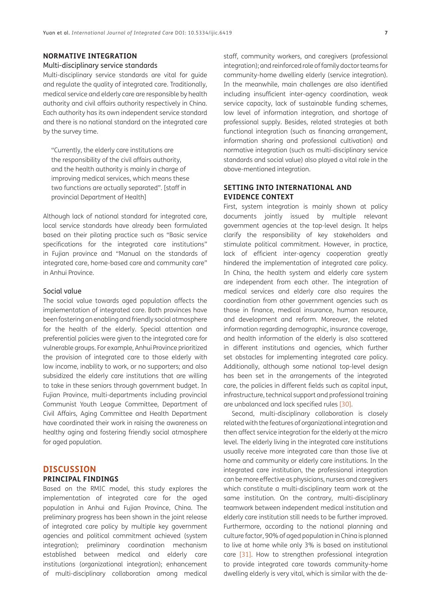#### **NORMATIVE INTEGRATION**

#### Multi-disciplinary service standards

Multi-disciplinary service standards are vital for guide and regulate the quality of integrated care. Traditionally, medical service and elderly care are responsible by health authority and civil affairs authority respectively in China. Each authority has its own independent service standard and there is no national standard on the integrated care by the survey time.

"Currently, the elderly care institutions are the responsibility of the civil affairs authority, and the health authority is mainly in charge of improving medical services, which means these two functions are actually separated". [staff in provincial Department of Health]

Although lack of national standard for integrated care, local service standards have already been formulated based on their piloting practice such as "Basic service specifications for the integrated care institutions" in Fujian province and "Manual on the standards of integrated care, home-based care and community care" in Anhui Province.

#### Social value

The social value towards aged population affects the implementation of integrated care. Both provinces have been fostering an enabling and friendly social atmosphere for the health of the elderly. Special attention and preferential policies were given to the integrated care for vulnerable groups. For example, Anhui Province prioritized the provision of integrated care to those elderly with low income, inability to work, or no supporters; and also subsidized the elderly care institutions that are willing to take in these seniors through government budget. In Fujian Province, multi-departments including provincial Communist Youth League Committee, Department of Civil Affairs, Aging Committee and Health Department have coordinated their work in raising the awareness on healthy aging and fostering friendly social atmosphere for aged population.

#### **DISCUSSION PRINCIPAL FINDINGS**

Based on the RMIC model, this study explores the implementation of integrated care for the aged population in Anhui and Fujian Province, China. The preliminary progress has been shown in the joint release of integrated care policy by multiple key government agencies and political commitment achieved (system integration); preliminary coordination mechanism established between medical and elderly care institutions (organizational integration); enhancement of multi-disciplinary collaboration among medical

staff, community workers, and caregivers (professional integration); and reinforced role of family doctor teams for community-home dwelling elderly (service integration). In the meanwhile, main challenges are also identified including insufficient inter-agency coordination, weak service capacity, lack of sustainable funding schemes, low level of information integration, and shortage of professional supply. Besides, related strategies at both functional integration (such as financing arrangement, information sharing and professional cultivation) and normative integration (such as multi-disciplinary service standards and social value) also played a vital role in the above-mentioned integration.

### **SETTING INTO INTERNATIONAL AND EVIDENCE CONTEXT**

First, system integration is mainly shown at policy documents jointly issued by multiple relevant government agencies at the top-level design. It helps clarify the responsibility of key stakeholders and stimulate political commitment. However, in practice, lack of efficient inter-agency cooperation greatly hindered the implementation of integrated care policy. In China, the health system and elderly care system are independent from each other. The integration of medical services and elderly care also requires the coordination from other government agencies such as those in finance, medical insurance, human resource, and development and reform. Moreover, the related information regarding demographic, insurance coverage, and health information of the elderly is also scattered in different institutions and agencies, which further set obstacles for implementing integrated care policy. Additionally, although some national top-level design has been set in the arrangements of the integrated care, the policies in different fields such as capital input, infrastructure, technical support and professional training are unbalanced and lack specified rules [[30](#page-10-0)].

Second, multi-disciplinary collaboration is closely related with the features of organizational integration and then affect service integration for the elderly at the micro level. The elderly living in the integrated care institutions usually receive more integrated care than those live at home and community or elderly care institutions. In the integrated care institution, the professional integration can be more effective as physicians, nurses and caregivers which constitute a multi-disciplinary team work at the same institution. On the contrary, multi-disciplinary teamwork between independent medical institution and elderly care institution still needs to be further improved. Furthermore, according to the national planning and culture factor, 90% of aged population in China is planned to live at home while only 3% is based on institutional care [[31](#page-10-1)]. How to strengthen professional integration to provide integrated care towards community-home dwelling elderly is very vital, which is similar with the de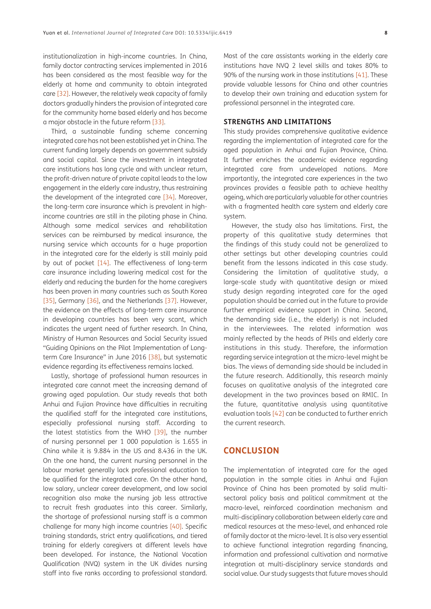institutionalization in high-income countries. In China, family doctor contracting services implemented in 2016 has been considered as the most feasible way for the elderly at home and community to obtain integrated care [[32](#page-10-2)]. However, the relatively weak capacity of family doctors gradually hinders the provision of integrated care for the community home based elderly and has become a major obstacle in the future reform [\[33\]](#page-10-3).

Third, a sustainable funding scheme concerning integrated care has not been established yet in China. The current funding largely depends on government subsidy and social capital. Since the investment in integrated care institutions has long cycle and with unclear return, the profit-driven nature of private capital leads to the low engagement in the elderly care industry, thus restraining the development of the integrated care [\[34\]](#page-10-4). Moreover, the long-term care insurance which is prevalent in highincome countries are still in the piloting phase in China. Although some medical services and rehabilitation services can be reimbursed by medical insurance, the nursing service which accounts for a huge proportion in the integrated care for the elderly is still mainly paid by out of pocket [[14\]](#page-9-10). The effectiveness of long-term care insurance including lowering medical cost for the elderly and reducing the burden for the home caregivers has been proven in many countries such as South Korea [35], Germany [36], and the Netherlands [[37](#page-10-5)]. However, the evidence on the effects of long-term care insurance in developing countries has been very scant, which indicates the urgent need of further research. In China, Ministry of Human Resources and Social Security issued "Guiding Opinions on the Pilot Implementation of Longterm Care Insurance" in June 2016 [\[38](#page-10-6)], but systematic evidence regarding its effectiveness remains lacked.

Lastly, shortage of professional human resources in integrated care cannot meet the increasing demand of growing aged population. Our study reveals that both Anhui and Fujian Province have difficulties in recruiting the qualified staff for the integrated care institutions, especially professional nursing staff. According to the latest statistics from the WHO [\[39](#page-10-7)], the number of nursing personnel per 1 000 population is 1.655 in China while it is 9.884 in the US and 8.436 in the UK. On the one hand, the current nursing personnel in the labour market generally lack professional education to be qualified for the integrated care. On the other hand, low salary, unclear career development, and low social recognition also make the nursing job less attractive to recruit fresh graduates into this career. Similarly, the shortage of professional nursing staff is a common challenge for many high income countries [[40](#page-10-8)]. Specific training standards, strict entry qualifications, and tiered training for elderly caregivers at different levels have been developed. For instance, the National Vocation Qualification (NVQ) system in the UK divides nursing staff into five ranks according to professional standard.

Most of the care assistants working in the elderly care institutions have NVQ 2 level skills and takes 80% to 90% of the nursing work in those institutions [\[41\]](#page-10-9). These provide valuable lessons for China and other countries to develop their own training and education system for professional personnel in the integrated care.

#### **STRENGTHS AND LIMITATIONS**

This study provides comprehensive qualitative evidence regarding the implementation of integrated care for the aged population in Anhui and Fujian Province, China. It further enriches the academic evidence regarding integrated care from undeveloped nations. More importantly, the integrated care experiences in the two provinces provides a feasible path to achieve healthy ageing, which are particularly valuable for other countries with a fragmented health care system and elderly care system.

However, the study also has limitations. First, the property of this qualitative study determines that the findings of this study could not be generalized to other settings but other developing countries could benefit from the lessons indicated in this case study. Considering the limitation of qualitative study, a large-scale study with quantitative design or mixed study design regarding integrated care for the aged population should be carried out in the future to provide further empirical evidence support in China. Second, the demanding side (i.e., the elderly) is not included in the interviewees. The related information was mainly reflected by the heads of PHIs and elderly care institutions in this study. Therefore, the information regarding service integration at the micro-level might be bias. The views of demanding side should be included in the future research. Additionally, this research mainly focuses on qualitative analysis of the integrated care development in the two provinces based on RMIC. In the future, quantitative analysis using quantitative evaluation tools [\[42\]](#page-10-10) can be conducted to further enrich the current research.

## **CONCLUSION**

The implementation of integrated care for the aged population in the sample cities in Anhui and Fujian Province of China has been promoted by solid multisectoral policy basis and political commitment at the macro-level, reinforced coordination mechanism and multi-disciplinary collaboration between elderly care and medical resources at the meso-level, and enhanced role of family doctor at the micro-level. It is also very essential to achieve functional integration regarding financing, information and professional cultivation and normative integration at multi-disciplinary service standards and social value. Our study suggests that future moves should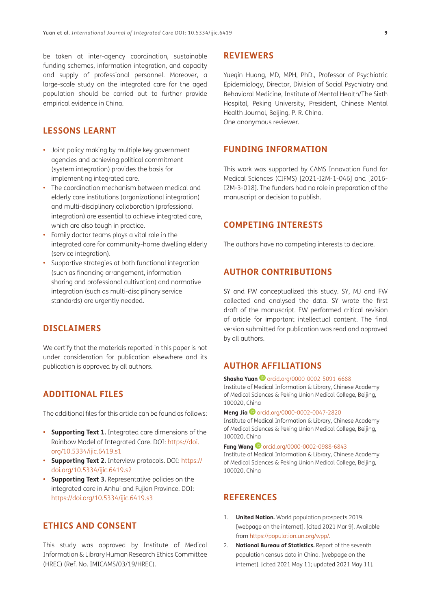be taken at inter-agency coordination, sustainable funding schemes, information integration, and capacity and supply of professional personnel. Moreover, a large-scale study on the integrated care for the aged population should be carried out to further provide empirical evidence in China.

## **LESSONS LEARNT**

- **•**  Joint policy making by multiple key government agencies and achieving political commitment (system integration) provides the basis for implementing integrated care.
- **•**  The coordination mechanism between medical and elderly care institutions (organizational integration) and multi-disciplinary collaboration (professional integration) are essential to achieve integrated care, which are also tough in practice.
- **•**  Family doctor teams plays a vital role in the integrated care for community-home dwelling elderly (service integration).
- **•**  Supportive strategies at both functional integration (such as financing arrangement, information sharing and professional cultivation) and normative integration (such as multi-disciplinary service standards) are urgently needed.

## **DISCLAIMERS**

We certify that the materials reported in this paper is not under consideration for publication elsewhere and its publication is approved by all authors.

## **ADDITIONAL FILES**

The additional files for this article can be found as follows:

- **• Supporting Text 1.** Integrated care dimensions of the Rainbow Model of Integrated Care. DOI: [https://doi.](https://doi.org/10.5334/ijic.6419.s1) [org/10.5334/ijic.6419.s1](https://doi.org/10.5334/ijic.6419.s1)
- **• Supporting Text 2.** Interview protocols. DOI: [https://](https://doi.org/10.5334/ijic.6419.s2) [doi.org/10.5334/ijic.6419.s2](https://doi.org/10.5334/ijic.6419.s2)
- **• Supporting Text 3.** Representative policies on the integrated care in Anhui and Fujian Province. DOI: <https://doi.org/10.5334/ijic.6419.s3>

## **ETHICS AND CONSENT**

This study was approved by Institute of Medical Information & Library Human Research Ethics Committee (HREC) (Ref. No. IMICAMS/03/19/HREC).

## **REVIEWERS**

Yueqin Huang, MD, MPH, PhD., Professor of Psychiatric Epidemiology, Director, Division of Social Psychiatry and Behavioral Medicine, Institute of Mental Health/The Sixth Hospital, Peking University, President, Chinese Mental Health Journal, Beijing, P. R. China. One anonymous reviewer.

## **FUNDING INFORMATION**

This work was supported by CAMS Innovation Fund for Medical Sciences (CIFMS) [2021-I2M-1-046] and [2016- I2M-3-018]. The funders had no role in preparation of the manuscript or decision to publish.

## **COMPETING INTERESTS**

The authors have no competing interests to declare.

## **AUTHOR CONTRIBUTIONS**

SY and FW conceptualized this study. SY, MJ and FW collected and analysed the data. SY wrote the first draft of the manuscript. FW performed critical revision of article for important intellectual content. The final version submitted for publication was read and approved by all authors.

## <span id="page-8-0"></span>**AUTHOR AFFILIATIONS**

**ShashaYuan D** [orcid.org/0000-0002-5091-6688](https://orcid.org/0000-0002-5091-6688) Institute of Medical Information & Library, Chinese Academy of Medical Sciences & Peking Union Medical College, Beijing, 100020, China

#### **Meng Jia**[orcid.org/0000-0002-0047-2820](https://orcid.org/0000-0002-0047-2820)

Institute of Medical Information & Library, Chinese Academy of Medical Sciences & Peking Union Medical College, Beijing, 100020, China

**Fang Wang**[orcid.org/0000-0002-0988-6843](https://orcid.org/0000-0002-0988-6843) Institute of Medical Information & Library, Chinese Academy of Medical Sciences & Peking Union Medical College, Beijing, 100020, China

## **REFERENCES**

- <span id="page-8-1"></span>1. **United Nation.** World population prospects 2019. [webpage on the internet]. [cited 2021 Mar 9]. Available from [https://population.un.org/wpp/.](https://population.un.org/wpp/)
- <span id="page-8-2"></span>2. **National Bureau of Statistics.** Report of the seventh population census data in China. [webpage on the internet]. [cited 2021 May 11; updated 2021 May 11].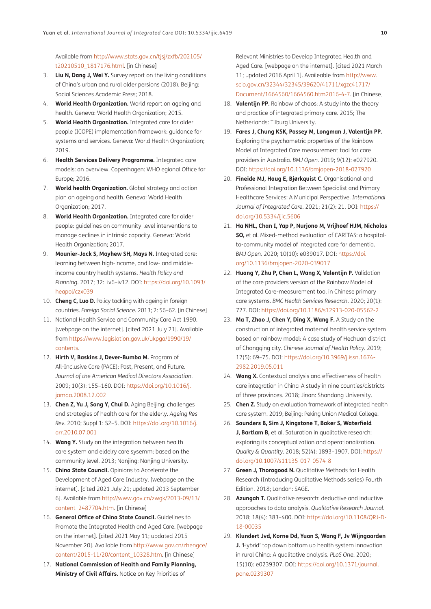Available from [http://www.stats.gov.cn/tjsj/zxfb/202105/](http://www.stats.gov.cn/tjsj/zxfb/202105/t20210510_1817176.html) [t20210510\\_1817176.html](http://www.stats.gov.cn/tjsj/zxfb/202105/t20210510_1817176.html). [in Chinese]

- 3. **Liu N, Dang J, Wei Y.** Survey report on the living conditions of China's urban and rural older persions (2018). Beijing: Social Sciences Academic Press; 2018.
- <span id="page-9-0"></span>4. **World Health Organization.** World report on ageing and health. Geneva: World Health Organization; 2015.
- <span id="page-9-1"></span>5. **World Health Organization.** Integrated care for older people (ICOPE) implementation framework: guidance for systems and services. Geneva: World Health Organization; 2019.
- <span id="page-9-2"></span>6. **Health Services Delivery Programme.** Integrated care models: an overview. Copenhagen: WHO egional Office for Europe; 2016.
- <span id="page-9-3"></span>7. **World health Organization.** Global strategy and action plan on ageing and health. Geneva: World Health Organization; 2017.
- <span id="page-9-4"></span>8. **World Health Organization.** Integrated care for older people: guidelines on community-level interventions to manage declines in intrinsic capacity. Geneva: World Health Organization; 2017.
- <span id="page-9-5"></span>9. **Mounier-Jack S, Mayhew SH, Mays N.** Integrated care: learning between high-income, and low- and middleincome country health systems. *Health Policy and Planning*. 2017; 32: iv6–iv12. DOI: [https://doi.org/10.1093/](https://doi.org/10.1093/heapol/czx039) [heapol/czx039](https://doi.org/10.1093/heapol/czx039)
- <span id="page-9-6"></span>10. **Cheng C, Luo D.** Policy tackling with ageing in foreign countries. *Foreign Social Science*. 2013; 2: 56–62. [in Chinese]
- <span id="page-9-7"></span>11. National Health Service and Community Care Act 1990. [webpage on the internet]. [cited 2021 July 21]. Available from [https://www.legislation.gov.uk/ukpga/1990/19/](https://www.legislation.gov.uk/ukpga/1990/19/contents) [contents.](https://www.legislation.gov.uk/ukpga/1990/19/contents)
- <span id="page-9-8"></span>12. **Hirth V, Baskins J, Dever-Bumba M.** Program of All-Inclusive Care (PACE): Past, Present, and Future. *Journal of the American Medical Directors Association*. 2009; 10(3): 155–160. DOI: [https://doi.org/10.1016/j.](https://doi.org/10.1016/j.jamda.2008.12.002) [jamda.2008.12.002](https://doi.org/10.1016/j.jamda.2008.12.002)
- <span id="page-9-9"></span>13. **Chen Z, Yu J, Song Y, Chui D.** Aging Beijing: challenges and strategies of health care for the elderly. *Ageing Res Rev*. 2010; Suppl 1: S2–5. DOI: [https://doi.org/10.1016/j.](https://doi.org/10.1016/j.arr.2010.07.001) [arr.2010.07.001](https://doi.org/10.1016/j.arr.2010.07.001)
- <span id="page-9-10"></span>14. **Wang Y.** Study on the integration between health care system and eldelry care sysemm: based on the community level. 2013; Nanjing: Nanjing University.
- <span id="page-9-11"></span>15. **China State Council.** Opinions to Accelerate the Development of Aged Care Industry. [webpage on the internet]. [cited 2021 July 21; updated 2013 September 6]. Available from [http://www.gov.cn/zwgk/2013-09/13/](http://www.gov.cn/zwgk/2013-09/13/content_2487704.htm) [content\\_2487704.htm](http://www.gov.cn/zwgk/2013-09/13/content_2487704.htm). [in Chinese]
- <span id="page-9-12"></span>16. **General Office of China State Council.** Guidelines to Promote the Integrated Health and Aged Care. [webpage on the internet]. [cited 2021 May 11; updated 2015 November 20]. Available from [http://www.gov.cn/zhengce/](http://www.gov.cn/zhengce/content/2015-11/20/content_10328.htm) [content/2015-11/20/content\\_10328.htm.](http://www.gov.cn/zhengce/content/2015-11/20/content_10328.htm) [in Chinese]
- <span id="page-9-13"></span>17. **National Commission of Health and Family Planning, Ministry of Civil Affairs.** Notice on Key Priorities of

Relevant Ministries to Develop Integrated Health and Aged Care. [webpage on the internet]. [cited 2021 March 11; updated 2016 April 1]. Availeable from [http://www.](http://www.scio.gov.cn/32344/32345/39620/41711/xgzc41717/Document/1664560/1664560.htm2016-4-7) [scio.gov.cn/32344/32345/39620/41711/xgzc41717/](http://www.scio.gov.cn/32344/32345/39620/41711/xgzc41717/Document/1664560/1664560.htm2016-4-7) [Document/1664560/1664560.htm2016-4-7.](http://www.scio.gov.cn/32344/32345/39620/41711/xgzc41717/Document/1664560/1664560.htm2016-4-7) [in Chinese]

- <span id="page-9-14"></span>18. **Valentijn PP.** Rainbow of chaos: A study into the theory and practice of integrated primary care. 2015; The Netherlands: Tilburg University.
- <span id="page-9-15"></span>19. **Fares J, Chung KSK, Passey M, Longman J, Valentijn PP.** Exploring the psychometric properties of the Rainbow Model of Integrated Care measurement tool for care providers in Australia. *BMJ Open*. 2019; 9(12): e027920. DOI: <https://doi.org/10.1136/bmjopen-2018-027920>
- 20. **Fineide MJ, Haug E, Bjørkquist C.** Organisational and Professional Integration Between Specialist and Primary Healthcare Services: A Municipal Perspective. *International Journal of Integrated Care*. 2021; 21(2): 21. DOI: [https://](https://doi.org/10.5334/ijic.5606) [doi.org/10.5334/ijic.5606](https://doi.org/10.5334/ijic.5606)
- <span id="page-9-16"></span>21. **Ha NHL, Chan I, Yap P, Nurjono M, Vrijhoef HJM, Nicholas SO,** et al. Mixed-method evaluation of CARITAS: a hospitalto-community model of integrated care for dementia. *BMJ Open*. 2020; 10(10): e039017. DOI: [https://doi.](https://doi.org/10.1136/bmjopen-2020-039017) [org/10.1136/bmjopen-2020-039017](https://doi.org/10.1136/bmjopen-2020-039017)
- <span id="page-9-17"></span>22. **Huang Y, Zhu P, Chen L, Wang X, Valentijn P.** Validation of the care providers version of the Rainbow Model of Integrated Care-measurement tool in Chinese primary care systems. *BMC Health Services Research*. 2020; 20(1): 727. DOI:<https://doi.org/10.1186/s12913-020-05562-2>
- 23. **Ma T, Zhao J, Chen Y, Ding X, Wang F.** A Study on the construction of integrated maternal health service system based on rainbow model: A case study of Hechuan district of Chongqing city. *Chinese Journal of Health Policy*. 2019; 12(5): 69–75. DOI: [https://doi.org/10.3969/j.issn.1674-](https://doi.org/10.3969/j.issn.1674-2982.2019.05.011) [2982.2019.05.011](https://doi.org/10.3969/j.issn.1674-2982.2019.05.011)
- 24. **Wang X.** Contextual analysis and effectiveness of health care integration in China-A study in nine counties/districts of three provinces. 2018; Jinan: Shandong University.
- <span id="page-9-18"></span>25. **Chen Z.** Study on evaluation framework of integrated health care system. 2019; Beijing: Peking Union Medical College.
- <span id="page-9-19"></span>26. **Saunders B, Sim J, Kingstone T, Baker S, Waterfield J, Bartlam B,** et al. Saturation in qualitative research: exploring its conceptualization and operationalization. *Quality & Quantity*. 2018; 52(4): 1893–1907. DOI: [https://](https://doi.org/10.1007/s11135-017-0574-8) [doi.org/10.1007/s11135-017-0574-8](https://doi.org/10.1007/s11135-017-0574-8)
- <span id="page-9-20"></span>27. **Green J, Thorogood N.** Qualitative Methods for Health Research (Introducing Qualitative Methods series) Fourth Edition. 2018; London: SAGE.
- <span id="page-9-21"></span>28. **Azungah T.** Qualitative research: deductive and inductive approaches to data analysis. *Qualitative Research Journal*. 2018; 18(4): 383–400. DOI: [https://doi.org/10.1108/QRJ-D-](https://doi.org/10.1108/QRJ-D-18-00035)[18-00035](https://doi.org/10.1108/QRJ-D-18-00035)
- 29. **Klundert Jvd, Korne Dd, Yuan S, Wang F, Jv Wijngaarden J.** 'Hybrid' top down bottom up health system innovation in rural China: A qualitative analysis. *PLoS One*. 2020; 15(10): e0239307. DOI: [https://doi.org/10.1371/journal.](https://doi.org/10.1371/journal.pone.0239307) [pone.0239307](https://doi.org/10.1371/journal.pone.0239307)